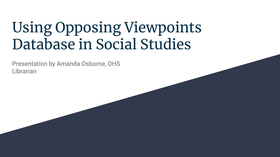# Using Opposing Viewpoints Database in Social Studies

Presentation by Amanda Osborne, OHS Librarian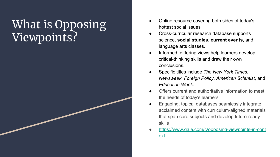## What is Opposing Viewpoints?

- Online resource covering both sides of today's hottest social issues
- Cross-curricular research database supports science, **social studies, current events,** and language arts classes.
- Informed, differing views help learners develop critical-thinking skills and draw their own conclusions.
- Specific titles include *The New York Times*, *Newsweek*, *Foreign Policy*, *American Scientist*, and *Education Week*.
- Offers current and authoritative information to meet the needs of today's learners
- Engaging, topical databases seamlessly integrate acclaimed content with curriculum-aligned materials that span core subjects and develop future-ready skills
- [https://www.gale.com/c/opposing-viewpoints-in-cont](https://www.gale.com/c/opposing-viewpoints-in-context) [ext](https://www.gale.com/c/opposing-viewpoints-in-context)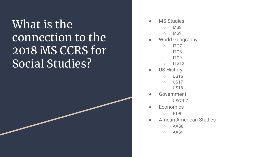## What is the connection to the 2018 MS CCRS for Social Studies?

- **MS Studies** 
	- MS8
	- MS9
- World Geography
	- ITG7
	- ITG8
	- ITG9
	- ITG12
- US History
	- US16
	- US17
	- US18
- **Government** 
	- USG 1-7
- **Economics** 
	- E1-9
- **African American Studies** 
	- AAS8
	- AAS9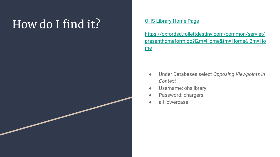# How do I find it? [OHS Library Home Page](https://oxfordsd.follettdestiny.com/common/servlet/presenthomeform.do?l2m=Home&tm=Home&l2m=Home)

[https://oxfordsd.follettdestiny.com/common/servlet/](https://oxfordsd.follettdestiny.com/common/servlet/presenthomeform.do?l2m=Home&tm=Home&l2m=Home) [presenthomeform.do?l2m=Home&tm=Home&l2m=Ho](https://oxfordsd.follettdestiny.com/common/servlet/presenthomeform.do?l2m=Home&tm=Home&l2m=Home) [me](https://oxfordsd.follettdestiny.com/common/servlet/presenthomeform.do?l2m=Home&tm=Home&l2m=Home)

- Under Databases select *Opposing Viewpoints in Context*
- Username: ohslibrary
- Password: chargers
- all lowercase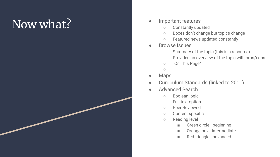# Now what?

#### Important features

- Constantly updated
- Boxes don't change but topics change
- Featured news updated constantly
- **Browse Issues** 
	- Summary of the topic (this is a resource)
	- Provides an overview of the topic with pros/cons
	- "On This Page"
	- ○
- **Maps**
- Curriculum Standards (linked to 2011)
- Advanced Search
	- Boolean logic
	- Full text option
	- Peer Reviewed
	- Content specific
	- Reading level
		- Green circle beginning
		- Orange box intermediate
		- Red triangle advanced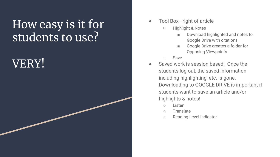### How easy is it for students to use?

## VERY!

#### Tool Box - right of article

- Highlight & Notes
	- Download highlighted and notes to Google Drive with citations
	- Google Drive creates a folder for Opposing Viewpoints
- **Save**
- Saved work is session based! Once the students log out, the saved information including highlighting, etc. is gone. Downloading to GOOGLE DRIVE is important if students want to save an article and/or highlights & notes!
	- Listen
	- Translate
	- Reading Level indicator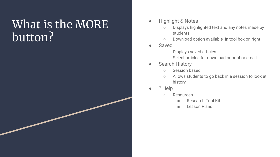#### What is the MORE button?

- **Highlight & Notes** 
	- Displays highlighted text and any notes made by students
	- Download option available in tool box on right
- Saved
	- Displays saved articles
	- Select articles for download or print or email
- **Search History** 
	- Session based
	- Allows students to go back in a session to look at history
- ? Help
	- Resources
		- Research Tool Kit
		- Lesson Plans